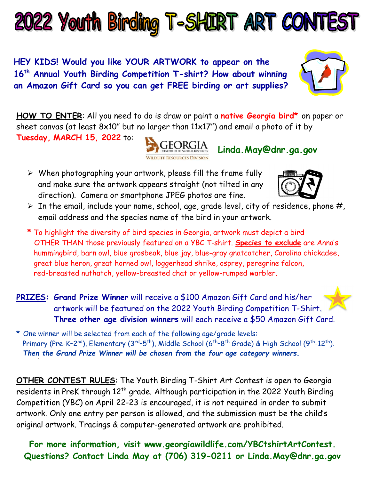

HEY KIDS! Would you like YOUR ARTWORK to appear on the 16<sup>th</sup> Annual Youth Birding Competition T-shirt? How about winning an Amazon Gift Card so you can get FREE birding or art supplies?

HOW TO ENTER: All you need to do is draw or paint a native Georgia bird\* on paper or sheet canvas (at least  $8x10''$  but no larger than  $11x17'$ ) and email a photo of it by

Tuesday, MARCH 15, 2022 to:



 $\triangleright$  When photographing your artwork, please fill the frame fully and make sure the artwork appears straight (not tilted in any direction). Camera or smartphone JPEG photos are fine.



- $\triangleright$  In the email, include your name, school, age, grade level, city of residence, phone #, email address and the species name of the bird in your artwork.
- \* To highlight the diversity of bird species in Georgia, artwork must depict a bird OTHER THAN those previously featured on a YBC T-shirt. Species to exclude are Anna's hummingbird, barn owl, blue grosbeak, blue jay, blue-gray gnatcatcher, Carolina chickadee, great blue heron, great horned owl, loggerhead shrike, osprey, peregrine falcon, red-breasted nuthatch, yellow-breasted chat or yellow-rumped warbler.
- PRIZES: Grand Prize Winner will receive a \$100 Amazon Gift Card and his/her artwork will be featured on the 2022 Youth Birding Competition T-Shirt. Three other age division winners will each receive a \$50 Amazon Gift Card.
- \* One winner will be selected from each of the following age/grade levels: Primary (Pre-K-2<sup>nd</sup>), Elementary (3<sup>rd</sup>-5<sup>th</sup>), Middle School (6<sup>th</sup>-8<sup>th</sup> Grade) & High School (9<sup>th</sup>-12<sup>th</sup>). Then the Grand Prize Winner will be chosen from the four age category winners.

OTHER CONTEST RULES: The Youth Birding T-Shirt Art Contest is open to Georgia residents in PreK through 12<sup>th</sup> grade. Although participation in the 2022 Youth Birding Competition (YBC) on April 22-23 is encouraged, it is not required in order to submit artwork. Only one entry per person is allowed, and the submission must be the child's original artwork. Tracings & computer-generated artwork are prohibited.

For more information, visit www.georgiawildlife.com/YBCtshirtArtContest. Questions? Contact Linda May at (706) 319-0211 or Linda.May@dnr.ga.gov